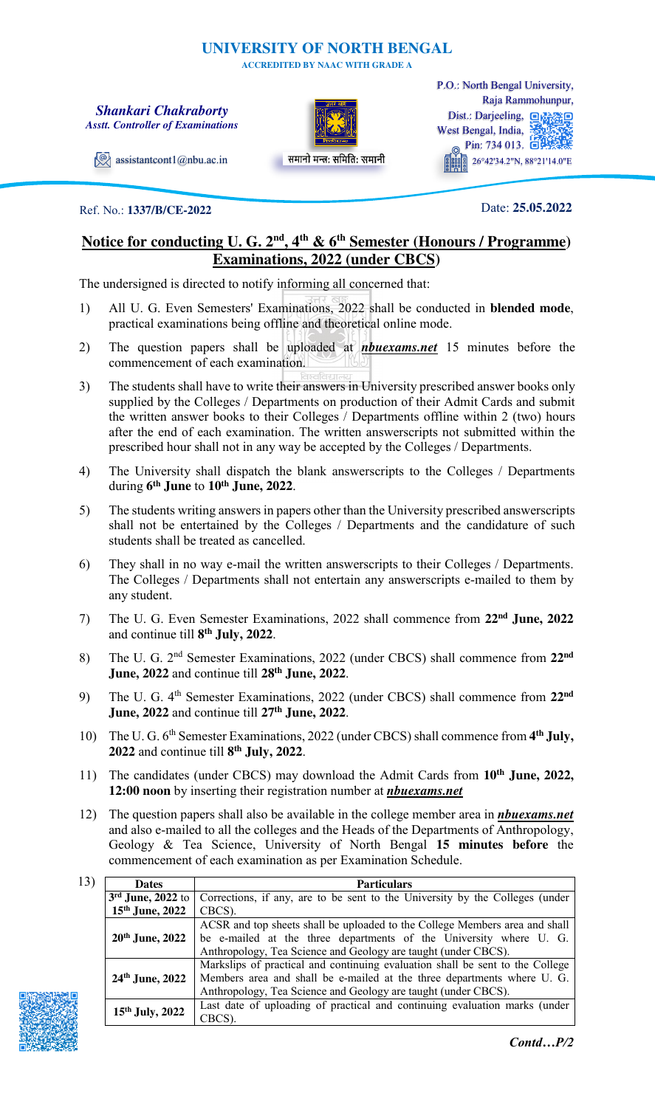## **UNIVERSITY OF NORTH BENGAL**

**ACCREDITED BY NAAC WITH GRADE A** 

### *Shankari Chakraborty Asstt. Controller of Examinations*



समानो मन्त्रः समितिः समानी

Dist.: Darjeeling, a West Bengal, India, Pin: 734 013. 26°42'34.2"N, 88°21'14.0"E P.O.: North Bengal University, Raja Rammohunpur,

 $\Diamond$  [assistantcont1@nbu.ac.in](file:///C:/Users/hp/Desktop/assistantcont1@nbu.ac.in)

### Ref. No.: **1337/B/CE-2022**

Date: **25.05.2022**

# **Notice for conducting U. G. 2nd, 4th & 6th Semester (Honours / Programme) Examinations, 2022 (under CBCS)**

The undersigned is directed to notify informing all concerned that:

- 1) All U. G. Even Semesters' Examinations, 2022 shall be conducted in **blended mode**, practical examinations being offline and theoretical online mode.
- 2) The question papers shall be uploaded at *nbuexams.net* 15 minutes before the commencement of each examination.
- 3) The students shall have to write their answers in University prescribed answer books only supplied by the Colleges / Departments on production of their Admit Cards and submit the written answer books to their Colleges / Departments offline within 2 (two) hours after the end of each examination. The written answerscripts not submitted within the prescribed hour shall not in any way be accepted by the Colleges / Departments.
- 4) The University shall dispatch the blank answerscripts to the Colleges / Departments during **6 th June** to **10th June, 2022**.
- 5) The students writing answers in papers other than the University prescribed answerscripts shall not be entertained by the Colleges / Departments and the candidature of such students shall be treated as cancelled.
- 6) They shall in no way e-mail the written answerscripts to their Colleges / Departments. The Colleges / Departments shall not entertain any answerscripts e-mailed to them by any student.
- 7) The U. G. Even Semester Examinations, 2022 shall commence from **22nd June, 2022**  and continue till **8 th July, 2022**.
- 8) The U. G. 2nd Semester Examinations, 2022 (under CBCS) shall commence from **22nd June, 2022** and continue till **28th June, 2022**.
- 9) The U. G. 4th Semester Examinations, 2022 (under CBCS) shall commence from **22nd June, 2022** and continue till **27th June, 2022**.
- 10) The U. G. 6<sup>th</sup> Semester Examinations, 2022 (under CBCS) shall commence from 4<sup>th</sup> July, **2022** and continue till **8 th July, 2022**.
- 11) The candidates (under CBCS) may download the Admit Cards from **10th June, 2022, 12:00 noon** by inserting their registration number at *nbuexams.net*
- 12) The question papers shall also be available in the college member area in *nbuexams.net*  and also e-mailed to all the colleges and the Heads of the Departments of Anthropology, Geology & Tea Science, University of North Bengal **15 minutes before** the commencement of each examination as per Examination Schedule.

| 13) | <b>Dates</b>      | <b>Particulars</b>                                                                               |
|-----|-------------------|--------------------------------------------------------------------------------------------------|
|     |                   | $3rd$ June, 2022 to Corrections, if any, are to be sent to the University by the Colleges (under |
|     | $15th$ June, 2022 | CBCS).                                                                                           |
|     |                   | ACSR and top sheets shall be uploaded to the College Members area and shall                      |
|     | $20th$ June, 2022 | be e-mailed at the three departments of the University where U. G.                               |
|     |                   | Anthropology, Tea Science and Geology are taught (under CBCS).                                   |
|     | 24th June, 2022   | Markslips of practical and continuing evaluation shall be sent to the College                    |
|     |                   | Members area and shall be e-mailed at the three departments where U. G.                          |
|     |                   | Anthropology, Tea Science and Geology are taught (under CBCS).                                   |
|     | 15th July, 2022   | Last date of uploading of practical and continuing evaluation marks (under                       |
|     |                   | CBCS).                                                                                           |